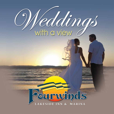# Veddings

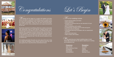$\sqrt{ }$  eddings set the stage for a couple's life together and allow those most dear to experience what defines you as a couple. From the vows to the centerpieces, every aspect of the wedding reflects the couple's personality. That's why you won't find pre-set packages at Fourwinds. Every wedding here is as unique and personal as you are!

Fourwinds Lakeside Inn and Marina offers four outdoor venues that offer spectacular views of Lake Monroe. Imagine pictures of the bride and groom by the lake at sunset; or the wedding party photographed with a backdrop of autumn-leaved trees. Do you dream of a beach wedding? The inn boasts a private beach along the shores of Lake Monroe. Would you like to be married underneath a beautiful gazebo overlooking the lake? We offer several locations for you to choose from.

> hile planning your dream wedding keep in mind these little extras that we are able to assist you in renting at an addional cost.

Our wedding specialist will guide you every step of the way to help you create the wedding of your dreams that will insure you and your guests have a day that will be remembered forever.











- 
- White tablecloths
- Archway for ceremony that you can decorate to fit your wedding theme
- Mirror centerpieces with candles
- Complimentary changing room for bride and groom
- Free park entry for all guests
- Personalized planning consultation with our experienced specialist
- Set-up and break-down
- Table numbers with holders



### **Reception:**

Tent Sides **Heaters Lighting** Dance Floor Specialty Linens









# **Ceremony:**

Aisle Runner White Ceremony Chairs **Candelabras**  Plant Stands Kneeling Bench

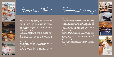







### **Anchor Patio**

You can't get much closer to the lake without getting wet! Surrounded by lush landscaping, this outdoor venue is the most popular destination wedding location. The herringbone pattern of the earth tone bricks provides a beautiful setting for any wedding ceremony or reception. Should you decide to have both your ceremony and reception on the Anchor Patio, you do not pay a separate ceremony site fee.

### **Anchor Patio w/ Tent**

A white frame tent provides a shelter from the sun for your guests and a grand backdrop for any occasion. The tent includes basic lighting and can easily be decorated to fit any theme. Have the outdoor wedding you've always dreamed of without worrying about the weather; tent sides can be added at an additional charge.

# **Gazebo (Ceremony Only)**

Invite your closest friends and family on the elevated lawn while you say your vows underneath our garden gazebo.

# **Beach (Ceremony Only)**

Always dreamed of a destination wedding? Make your dreams a reality by choosing the beach for your ceremony location.



# **Admiral Ballroom**

The Admiral Ballroom boasts the largest indoor space at Fourwinds. This very versatile ballroom has no pillars or posts allowing for flexible seating arrangements to meet the needs of any event. This room can be divided into two rooms; restrooms and a water fountain are conveniently located in the hallway just outside the room. The addition of a dance floor for your event may reduce the number of guests that can be seated comfortably.

### **Commodore Ballroom**

The Commodore is the second largest ballroom with a softer architectural ceiling. This room is ideal for both indoor ceremonies or receptions. Restrooms are available in the hallway. The seating arrangements may reduce the number of guests that can be seated comfortably.

## **Coral Room w/Patio**

This room is ideal for a private rehearsal dinner, day-after brunch, engagement parties, and more. It comes with its own fireplace and private patio.





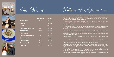









|                               | <b>Dimensions</b> | <b>Capacity</b> |
|-------------------------------|-------------------|-----------------|
| <b>Anchor Patio</b>           | 120 x 40          | 400 Max.        |
| Gazebo                        |                   | 100 Max.        |
| <b>Beach</b>                  |                   | 100 Max.        |
| <b>Admiral Ballroom (All)</b> | $56 \times 48$    | 180 Max.        |
| <b>Admiral East</b>           | 34 x 48           | 120 Max.        |
| <b>Admiral West</b>           | 22 x 48           | 80 Max.         |
| <b>Commodore Ballroom</b>     | 32 x 58           | 100 Max.        |
| <b>Commodore A</b>            | 32 x 20           | 33 Max.         |
| <b>Commodore B</b>            | 32 x 19           | 33 Max.         |
| <b>Commodore C</b>            | 32 x 19           | 33 Max.         |
| <b>Coral Room</b>             | $37 \times 18$    | 32 Max.         |



Full payment must be received 21 days prior to the event with food guarantee, excluding bar service. Final payment for bar service and any other miscellaneous or day of the event expense will be made at the end of the event.

A non-refundable deposit of \$1,000.00 is required to reserve the date. The inn also requires a credit card number be held on file. 120 days prior to the event, 50% of the total estimated cost is required. If payment is not received by agreed upon date, Fourwinds reserves the right to cancel all services and will not be held responsible for any further costs.

The inn requires a minimum amount in food and beverage purchases for all weddings. This amount must be met or the difference will be charged as miscellaneous to your final bill and is subject to tax and gratuity.

A minimum guaranteed guest count of all guests in attendance, regardless of age, must be provided at least 21 days in advance of the event. Guests may be added to the count up to 7 days in advance. Total charges will be based upon the minimum guaranteed guest count, OR the amount of guest in attendance, whichever is larger.

All receptions must end by 11:00 pm unless additional time is granted based upon request and time of season.

In the event of inclement weather, alternative arrangements for outdoor events (up to 300 guests for ceremony and 200 for the reception) may be made. Tent sides are available at an additional fee for Anchor Patio Tent events and must be requested at least 48 hours in advance.

All displays and/or decorations to be used during your group function must be approved when finalizing with our Wedding Coordinator and will be subject to approval by the resort upon arrival. Glitter, confetti, and un-enclosed candles are not permitted. Any damage that is incurred by affixing items to walls, ceilings or floors will be assessed by Fourwinds management and charged to the client account. The inn will not be liable for any loss or damage of client's property brought in. Any decorations you provide must be removed promptly at the end of the event.

All food and beverage must be purchased through Fourwinds Lakeside Inn & Marina with the exception of a wedding cake, cupcakes or candy bar.

Policies & Information